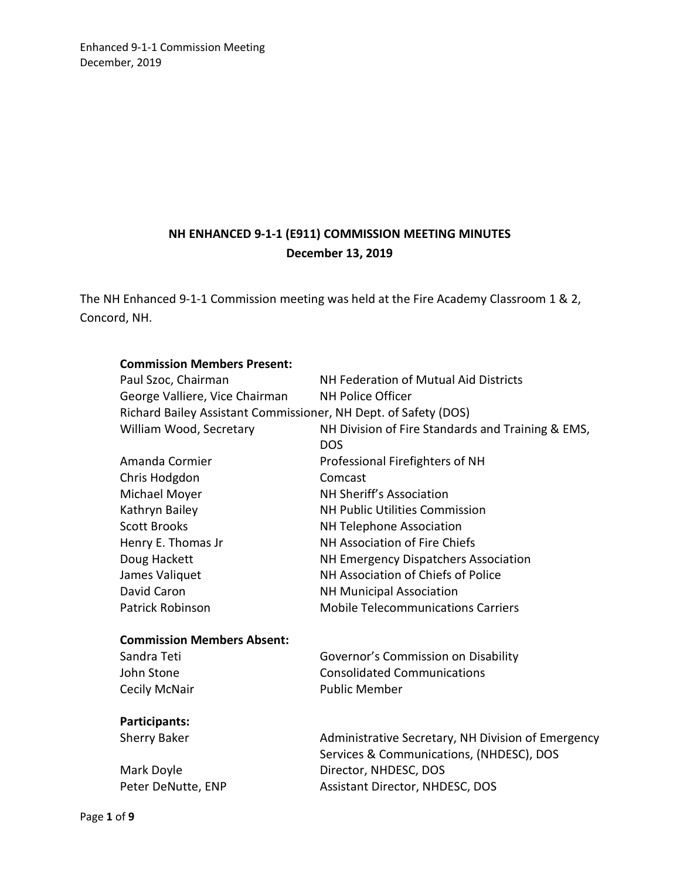# **NH ENHANCED 9-1-1 (E911) COMMISSION MEETING MINUTES December 13, 2019**

The NH Enhanced 9-1-1 Commission meeting was held at the Fire Academy Classroom 1 & 2, Concord, NH.

| <b>Commission Members Present:</b>                              |                                                    |  |
|-----------------------------------------------------------------|----------------------------------------------------|--|
| Paul Szoc, Chairman                                             | NH Federation of Mutual Aid Districts              |  |
| George Valliere, Vice Chairman                                  | <b>NH Police Officer</b>                           |  |
| Richard Bailey Assistant Commissioner, NH Dept. of Safety (DOS) |                                                    |  |
| William Wood, Secretary                                         | NH Division of Fire Standards and Training & EMS,  |  |
|                                                                 | <b>DOS</b>                                         |  |
| Amanda Cormier                                                  | Professional Firefighters of NH                    |  |
| Chris Hodgdon                                                   | Comcast                                            |  |
| Michael Moyer                                                   | NH Sheriff's Association                           |  |
| Kathryn Bailey                                                  | NH Public Utilities Commission                     |  |
| <b>Scott Brooks</b>                                             | NH Telephone Association                           |  |
| Henry E. Thomas Jr                                              | NH Association of Fire Chiefs                      |  |
| Doug Hackett                                                    | NH Emergency Dispatchers Association               |  |
| James Valiquet                                                  | NH Association of Chiefs of Police                 |  |
| David Caron                                                     | <b>NH Municipal Association</b>                    |  |
| Patrick Robinson                                                | <b>Mobile Telecommunications Carriers</b>          |  |
| <b>Commission Members Absent:</b>                               |                                                    |  |
| Sandra Teti                                                     | Governor's Commission on Disability                |  |
| John Stone                                                      | <b>Consolidated Communications</b>                 |  |
| Cecily McNair                                                   | <b>Public Member</b>                               |  |
|                                                                 |                                                    |  |
| Participants:                                                   |                                                    |  |
| <b>Sherry Baker</b>                                             | Administrative Secretary, NH Division of Emergency |  |
|                                                                 | Services & Communications, (NHDESC), DOS           |  |
| Mark Doyle                                                      | Director, NHDESC, DOS                              |  |
| Peter DeNutte, ENP                                              | Assistant Director, NHDESC, DOS                    |  |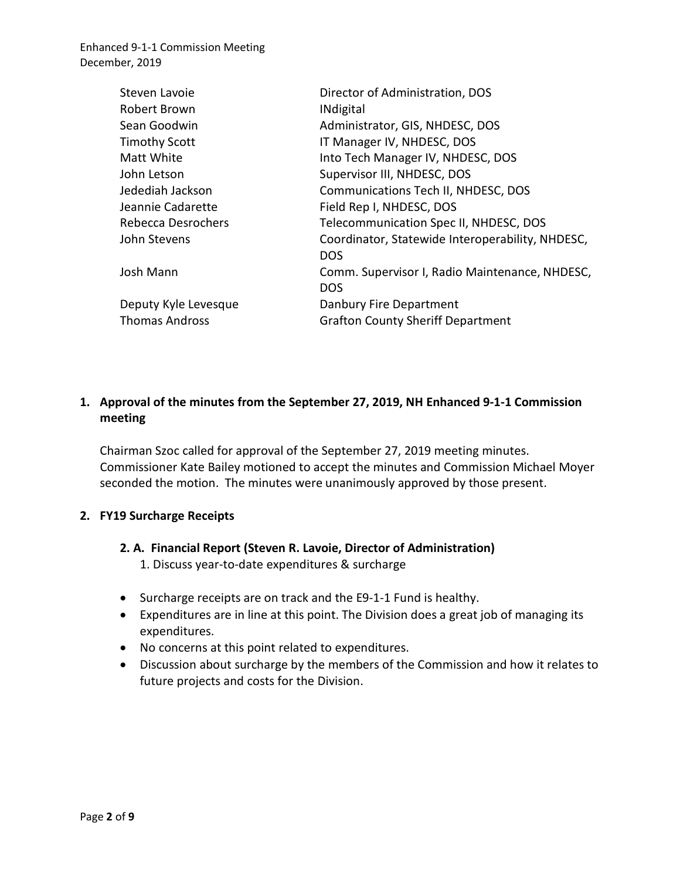| Steven Lavoie             | Director of Administration, DOS                                |
|---------------------------|----------------------------------------------------------------|
| Robert Brown              | <b>INdigital</b>                                               |
| Sean Goodwin              | Administrator, GIS, NHDESC, DOS                                |
| <b>Timothy Scott</b>      | IT Manager IV, NHDESC, DOS                                     |
| Matt White                | Into Tech Manager IV, NHDESC, DOS                              |
| John Letson               | Supervisor III, NHDESC, DOS                                    |
| Jedediah Jackson          | Communications Tech II, NHDESC, DOS                            |
| Jeannie Cadarette         | Field Rep I, NHDESC, DOS                                       |
| <b>Rebecca Desrochers</b> | Telecommunication Spec II, NHDESC, DOS                         |
| John Stevens              | Coordinator, Statewide Interoperability, NHDESC,<br><b>DOS</b> |
| Josh Mann                 | Comm. Supervisor I, Radio Maintenance, NHDESC,<br><b>DOS</b>   |
| Deputy Kyle Levesque      | Danbury Fire Department                                        |
| <b>Thomas Andross</b>     | <b>Grafton County Sheriff Department</b>                       |

# **1. Approval of the minutes from the September 27, 2019, NH Enhanced 9-1-1 Commission meeting**

Chairman Szoc called for approval of the September 27, 2019 meeting minutes. Commissioner Kate Bailey motioned to accept the minutes and Commission Michael Moyer seconded the motion. The minutes were unanimously approved by those present.

### **2. FY19 Surcharge Receipts**

- **2. A. Financial Report (Steven R. Lavoie, Director of Administration)** 1. Discuss year-to-date expenditures & surcharge
- Surcharge receipts are on track and the E9-1-1 Fund is healthy.
- Expenditures are in line at this point. The Division does a great job of managing its expenditures.
- No concerns at this point related to expenditures.
- Discussion about surcharge by the members of the Commission and how it relates to future projects and costs for the Division.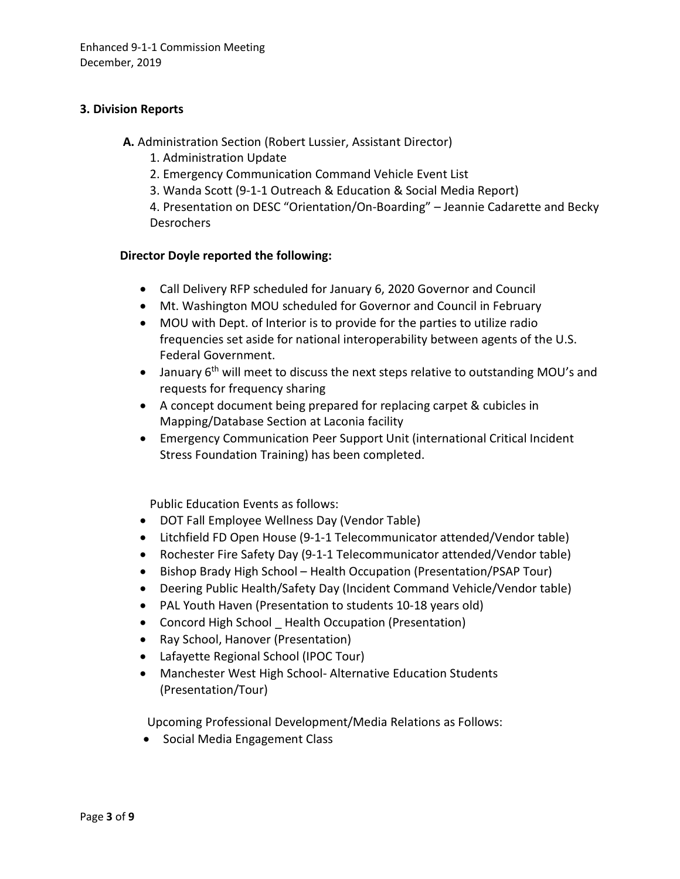### **3. Division Reports**

**A.** Administration Section (Robert Lussier, Assistant Director)

- 1. Administration Update
- 2. Emergency Communication Command Vehicle Event List
- 3. Wanda Scott (9-1-1 Outreach & Education & Social Media Report)

4. Presentation on DESC "Orientation/On-Boarding" – Jeannie Cadarette and Becky **Desrochers** 

### **Director Doyle reported the following:**

- Call Delivery RFP scheduled for January 6, 2020 Governor and Council
- Mt. Washington MOU scheduled for Governor and Council in February
- MOU with Dept. of Interior is to provide for the parties to utilize radio frequencies set aside for national interoperability between agents of the U.S. Federal Government.
- January 6<sup>th</sup> will meet to discuss the next steps relative to outstanding MOU's and requests for frequency sharing
- A concept document being prepared for replacing carpet & cubicles in Mapping/Database Section at Laconia facility
- Emergency Communication Peer Support Unit (international Critical Incident Stress Foundation Training) has been completed.

Public Education Events as follows:

- DOT Fall Employee Wellness Day (Vendor Table)
- Litchfield FD Open House (9-1-1 Telecommunicator attended/Vendor table)
- Rochester Fire Safety Day (9-1-1 Telecommunicator attended/Vendor table)
- Bishop Brady High School Health Occupation (Presentation/PSAP Tour)
- Deering Public Health/Safety Day (Incident Command Vehicle/Vendor table)
- PAL Youth Haven (Presentation to students 10-18 years old)
- Concord High School Health Occupation (Presentation)
- Ray School, Hanover (Presentation)
- Lafayette Regional School (IPOC Tour)
- Manchester West High School- Alternative Education Students (Presentation/Tour)

Upcoming Professional Development/Media Relations as Follows:

• Social Media Engagement Class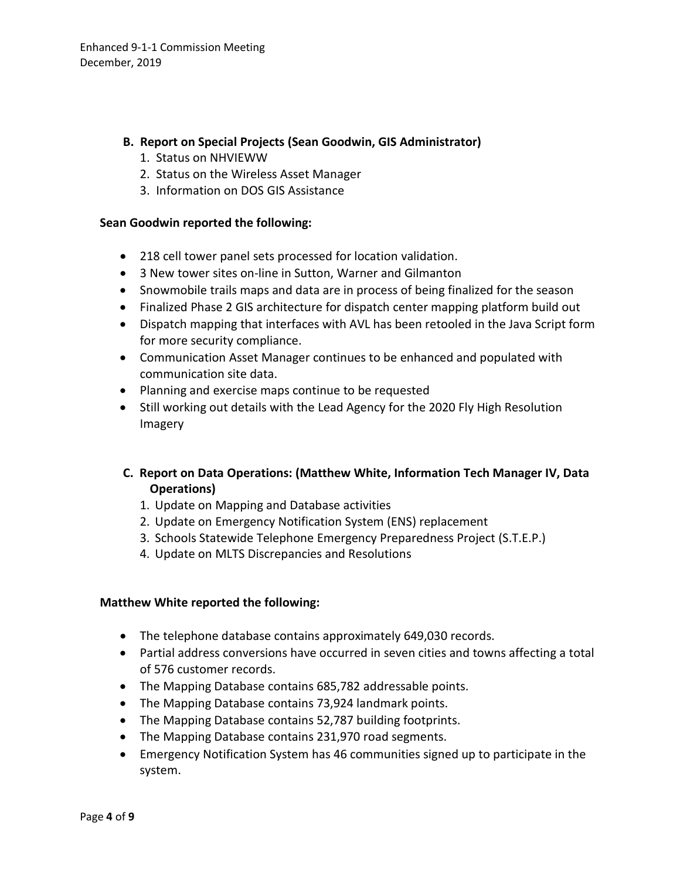### **B. Report on Special Projects (Sean Goodwin, GIS Administrator)**

- 1. Status on NHVIEWW
- 2. Status on the Wireless Asset Manager
- 3. Information on DOS GIS Assistance

#### **Sean Goodwin reported the following:**

- 218 cell tower panel sets processed for location validation.
- 3 New tower sites on-line in Sutton, Warner and Gilmanton
- Snowmobile trails maps and data are in process of being finalized for the season
- Finalized Phase 2 GIS architecture for dispatch center mapping platform build out
- Dispatch mapping that interfaces with AVL has been retooled in the Java Script form for more security compliance.
- Communication Asset Manager continues to be enhanced and populated with communication site data.
- Planning and exercise maps continue to be requested
- Still working out details with the Lead Agency for the 2020 Fly High Resolution Imagery

# **C. Report on Data Operations: (Matthew White, Information Tech Manager IV, Data Operations)**

- 1. Update on Mapping and Database activities
- 2. Update on Emergency Notification System (ENS) replacement
- 3. Schools Statewide Telephone Emergency Preparedness Project (S.T.E.P.)
- 4. Update on MLTS Discrepancies and Resolutions

### **Matthew White reported the following:**

- The telephone database contains approximately 649,030 records.
- Partial address conversions have occurred in seven cities and towns affecting a total of 576 customer records.
- The Mapping Database contains 685,782 addressable points.
- The Mapping Database contains 73,924 landmark points.
- The Mapping Database contains 52,787 building footprints.
- The Mapping Database contains 231,970 road segments.
- Emergency Notification System has 46 communities signed up to participate in the system.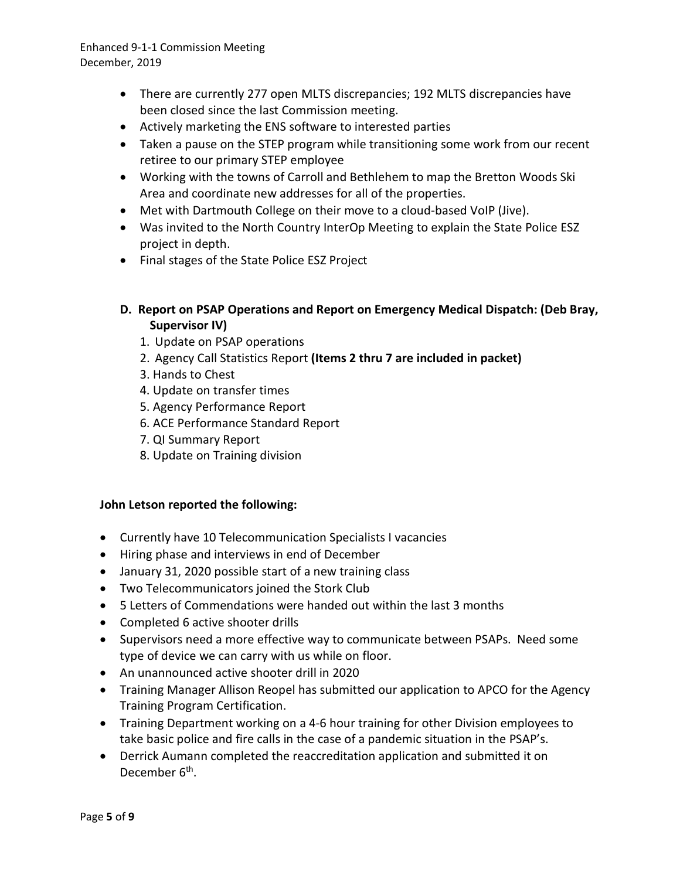- There are currently 277 open MLTS discrepancies; 192 MLTS discrepancies have been closed since the last Commission meeting.
- Actively marketing the ENS software to interested parties
- Taken a pause on the STEP program while transitioning some work from our recent retiree to our primary STEP employee
- Working with the towns of Carroll and Bethlehem to map the Bretton Woods Ski Area and coordinate new addresses for all of the properties.
- Met with Dartmouth College on their move to a cloud-based VoIP (Jive).
- Was invited to the North Country InterOp Meeting to explain the State Police ESZ project in depth.
- Final stages of the State Police ESZ Project
- **D. Report on PSAP Operations and Report on Emergency Medical Dispatch: (Deb Bray, Supervisor IV)** 
	- 1. Update on PSAP operations
	- 2. Agency Call Statistics Report **(Items 2 thru 7 are included in packet)**
	- 3. Hands to Chest
	- 4. Update on transfer times
	- 5. Agency Performance Report
	- 6. ACE Performance Standard Report
	- 7. QI Summary Report
	- 8. Update on Training division

## **John Letson reported the following:**

- Currently have 10 Telecommunication Specialists I vacancies
- Hiring phase and interviews in end of December
- January 31, 2020 possible start of a new training class
- Two Telecommunicators joined the Stork Club
- 5 Letters of Commendations were handed out within the last 3 months
- Completed 6 active shooter drills
- Supervisors need a more effective way to communicate between PSAPs. Need some type of device we can carry with us while on floor.
- An unannounced active shooter drill in 2020
- Training Manager Allison Reopel has submitted our application to APCO for the Agency Training Program Certification.
- Training Department working on a 4-6 hour training for other Division employees to take basic police and fire calls in the case of a pandemic situation in the PSAP's.
- Derrick Aumann completed the reaccreditation application and submitted it on December 6<sup>th</sup>.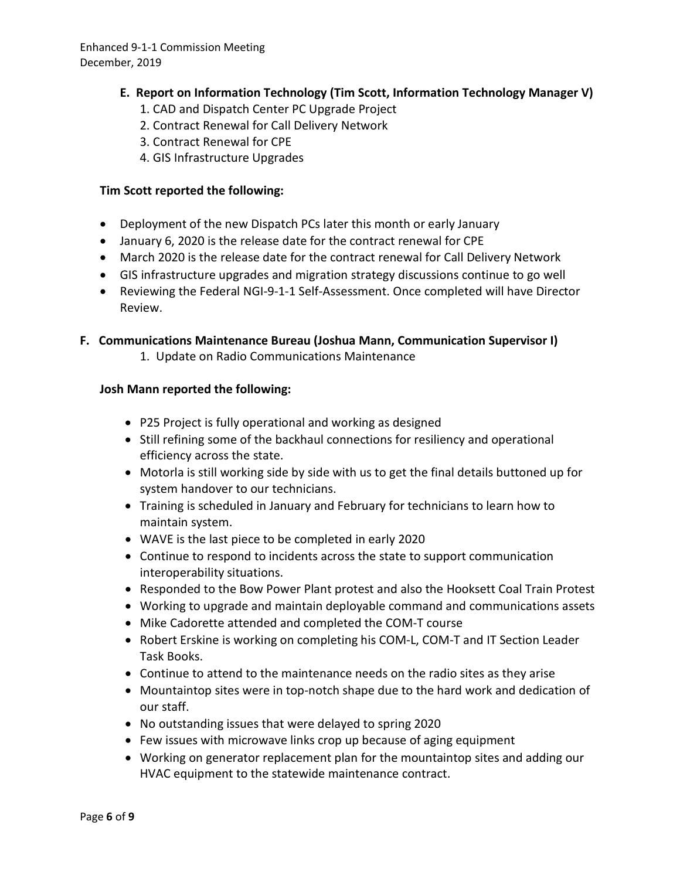- **E. Report on Information Technology (Tim Scott, Information Technology Manager V)** 
	- 1. CAD and Dispatch Center PC Upgrade Project
	- 2. Contract Renewal for Call Delivery Network
	- 3. Contract Renewal for CPE
	- 4. GIS Infrastructure Upgrades

#### **Tim Scott reported the following:**

- Deployment of the new Dispatch PCs later this month or early January
- January 6, 2020 is the release date for the contract renewal for CPE
- March 2020 is the release date for the contract renewal for Call Delivery Network
- GIS infrastructure upgrades and migration strategy discussions continue to go well
- Reviewing the Federal NGI-9-1-1 Self-Assessment. Once completed will have Director Review.

### **F. Communications Maintenance Bureau (Joshua Mann, Communication Supervisor I)**

1. Update on Radio Communications Maintenance

### **Josh Mann reported the following:**

- P25 Project is fully operational and working as designed
- Still refining some of the backhaul connections for resiliency and operational efficiency across the state.
- Motorla is still working side by side with us to get the final details buttoned up for system handover to our technicians.
- Training is scheduled in January and February for technicians to learn how to maintain system.
- WAVE is the last piece to be completed in early 2020
- Continue to respond to incidents across the state to support communication interoperability situations.
- Responded to the Bow Power Plant protest and also the Hooksett Coal Train Protest
- Working to upgrade and maintain deployable command and communications assets
- Mike Cadorette attended and completed the COM-T course
- Robert Erskine is working on completing his COM-L, COM-T and IT Section Leader Task Books.
- Continue to attend to the maintenance needs on the radio sites as they arise
- Mountaintop sites were in top-notch shape due to the hard work and dedication of our staff.
- No outstanding issues that were delayed to spring 2020
- Few issues with microwave links crop up because of aging equipment
- Working on generator replacement plan for the mountaintop sites and adding our HVAC equipment to the statewide maintenance contract.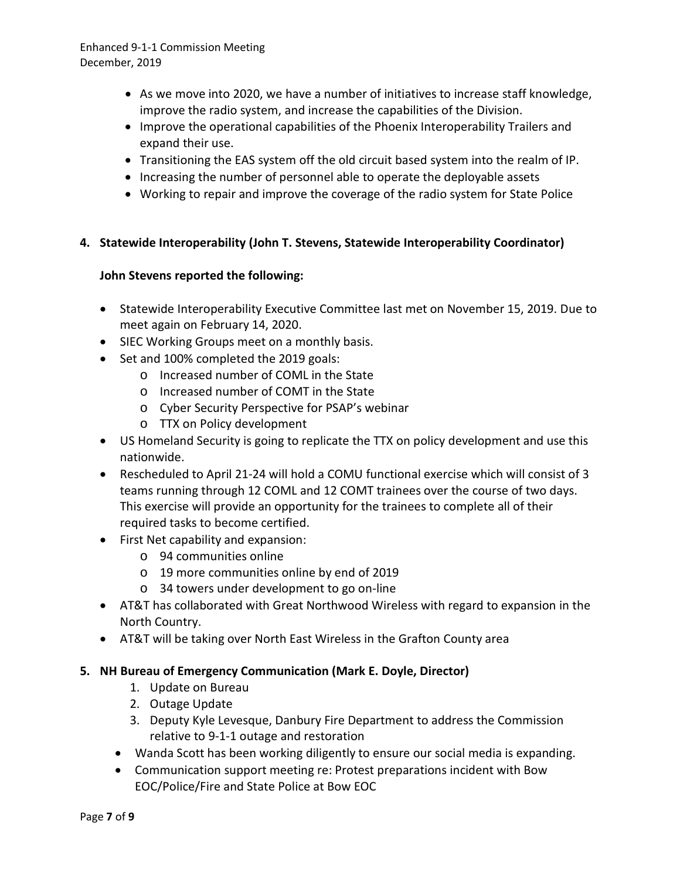- As we move into 2020, we have a number of initiatives to increase staff knowledge, improve the radio system, and increase the capabilities of the Division.
- Improve the operational capabilities of the Phoenix Interoperability Trailers and expand their use.
- Transitioning the EAS system off the old circuit based system into the realm of IP.
- Increasing the number of personnel able to operate the deployable assets
- Working to repair and improve the coverage of the radio system for State Police

## **4. Statewide Interoperability (John T. Stevens, Statewide Interoperability Coordinator)**

### **John Stevens reported the following:**

- Statewide Interoperability Executive Committee last met on November 15, 2019. Due to meet again on February 14, 2020.
- SIEC Working Groups meet on a monthly basis.
- Set and 100% completed the 2019 goals:
	- o Increased number of COML in the State
	- o Increased number of COMT in the State
	- o Cyber Security Perspective for PSAP's webinar
	- o TTX on Policy development
- US Homeland Security is going to replicate the TTX on policy development and use this nationwide.
- Rescheduled to April 21-24 will hold a COMU functional exercise which will consist of 3 teams running through 12 COML and 12 COMT trainees over the course of two days. This exercise will provide an opportunity for the trainees to complete all of their required tasks to become certified.
- First Net capability and expansion:
	- o 94 communities online
	- o 19 more communities online by end of 2019
	- o 34 towers under development to go on-line
- AT&T has collaborated with Great Northwood Wireless with regard to expansion in the North Country.
- AT&T will be taking over North East Wireless in the Grafton County area

## **5. NH Bureau of Emergency Communication (Mark E. Doyle, Director)**

- 1. Update on Bureau
- 2. Outage Update
- 3. Deputy Kyle Levesque, Danbury Fire Department to address the Commission relative to 9-1-1 outage and restoration
- Wanda Scott has been working diligently to ensure our social media is expanding.
- Communication support meeting re: Protest preparations incident with Bow EOC/Police/Fire and State Police at Bow EOC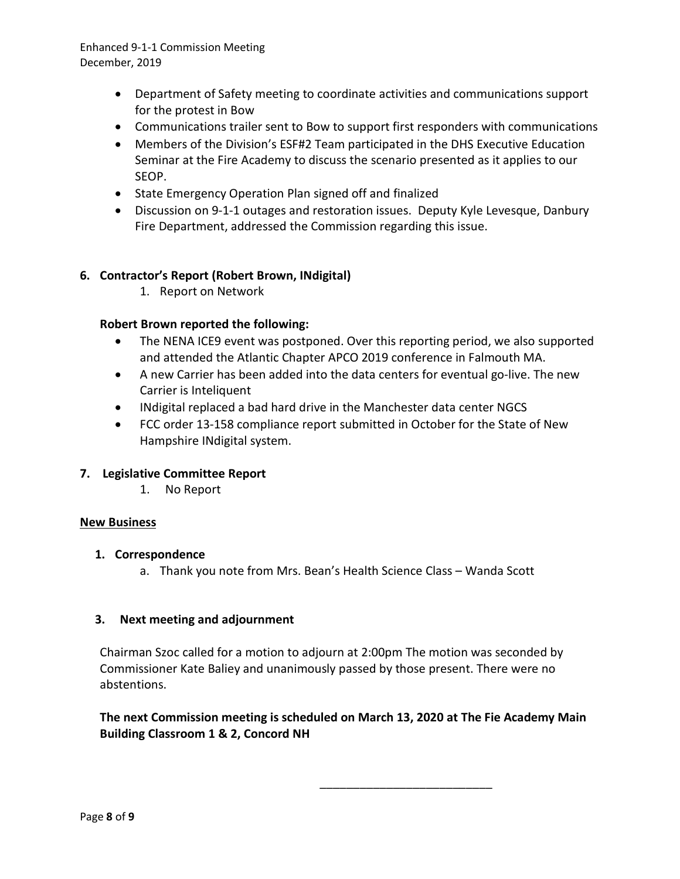- Department of Safety meeting to coordinate activities and communications support for the protest in Bow
- Communications trailer sent to Bow to support first responders with communications
- Members of the Division's ESF#2 Team participated in the DHS Executive Education Seminar at the Fire Academy to discuss the scenario presented as it applies to our SEOP.
- State Emergency Operation Plan signed off and finalized
- Discussion on 9-1-1 outages and restoration issues. Deputy Kyle Levesque, Danbury Fire Department, addressed the Commission regarding this issue.

### **6. Contractor's Report (Robert Brown, INdigital)**

1. Report on Network

### **Robert Brown reported the following:**

- The NENA ICE9 event was postponed. Over this reporting period, we also supported and attended the Atlantic Chapter APCO 2019 conference in Falmouth MA.
- A new Carrier has been added into the data centers for eventual go-live. The new Carrier is Inteliquent
- INdigital replaced a bad hard drive in the Manchester data center NGCS
- FCC order 13-158 compliance report submitted in October for the State of New Hampshire INdigital system.

### **7. Legislative Committee Report**

1. No Report

#### **New Business**

#### **1. Correspondence**

a. Thank you note from Mrs. Bean's Health Science Class – Wanda Scott

### **3. Next meeting and adjournment**

Chairman Szoc called for a motion to adjourn at 2:00pm The motion was seconded by Commissioner Kate Baliey and unanimously passed by those present. There were no abstentions.

### **The next Commission meeting is scheduled on March 13, 2020 at The Fie Academy Main Building Classroom 1 & 2, Concord NH**

\_\_\_\_\_\_\_\_\_\_\_\_\_\_\_\_\_\_\_\_\_\_\_\_\_\_

Page **8** of **9**